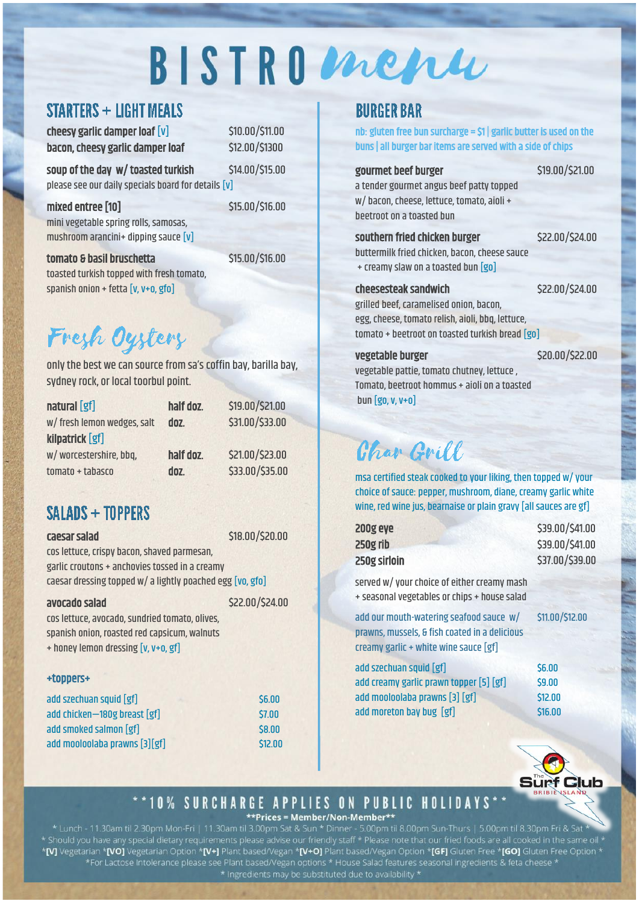# BISTROMenu

## **STARTERS + LIGHT MEALS**

 $cheesy$  garlic damper loaf  $[v]$  \$10.00/\$11.00 bacon, cheesy garlic damper loaf \$12.00/\$1300

soup of the day w/ toasted turkish \$14.00/\$15.00 please see our daily specials board for details [v]

mixed entree [10] \$15.00/\$16.00 mini vegetable spring rolls, samosas, mushroom arancini+ dipping sauce [v]

tomato & basil bruschetta \$15.00/\$16.00 toasted turkish topped with fresh tomato, spanish onion + fetta [v, v+o, gfo]

# Fresh Oysters

only the best we can source from sa's coffin bay, barilla bay, sydney rock, or local toorbul point.

| natural [gf]                | half doz. | \$19.00/\$21.00 |
|-----------------------------|-----------|-----------------|
| w/ fresh lemon wedges, salt | doz.      | \$31.00/\$33.00 |
| kilpatrick [gf]             |           |                 |
| w/worcestershire, bbq,      | half doz. | \$21.00/\$23.00 |
| $tomato + tabasco$          | doz.      | \$33.00/\$35.00 |

## SALADS + TOPPERS

caesar salad \$18.00/\$20.00

cos lettuce, crispy bacon, shaved parmesan, garlic croutons + anchovies tossed in a creamy caesar dressing topped w/ a lightly poached egg [vo, gfo]

#### avocado salad \$22.00/\$24.00

cos lettuce, avocado, sundried tomato, olives,

spanish onion, roasted red capsicum, walnuts + honey lemon dressing [v, v+o, gf]

## +toppers+

| add szechuan squid [gf]       | \$6.00  |
|-------------------------------|---------|
| add chicken-180g breast [gf]  | \$7.00  |
| add smoked salmon [gf]        | \$8.00  |
| add mooloolaba prawns [3][gf] | \$12,00 |

## **BURGER BAR**

nb: gluten free bun surcharge =  $$1|$  garlic butter is used on the buns | all burger bar items are served with a side of chips

#### gourmet beef burger \$19.00/\$21.00

a tender gourmet angus beef patty topped w/ bacon, cheese, lettuce, tomato, aioli + beetroot on a toasted bun

#### southern fried chicken burger \$22.00/\$24.00

buttermilk fried chicken, bacon, cheese sauce

## + creamy slaw on a toasted bun [go]

#### cheesesteak sandwich \$22.00/\$24.00

grilled beef, caramelised onion, bacon, egg, cheese, tomato relish, aioli, bbq, lettuce, tomato + beetroot on toasted turkish bread [go]

vegetable burger \$20.00/\$22.00

vegetable pattie, tomato chutney, lettuce , Tomato, beetroot hommus + aioli on a toasted bun [go, v, v+o]

## *Char Grill*

msa certified steak cooked to your liking, then topped w/ your choice of sauce: pepper, mushroom, diane, creamy garlic white wine, red wine jus, bearnaise or plain gravy [all sauces are gf]

| \$39.00/\$41.00 |
|-----------------|
| \$39.00/\$41.00 |
| \$37.00/\$39.00 |
|                 |

served w/ your choice of either creamy mash + seasonal vegetables or chips + house salad

add our mouth-watering seafood sauce w/ \$11.00/\$12.00 prawns, mussels, & fish coated in a delicious creamy garlic + white wine sauce [gf]

| add szechuan squid [gf]                 | \$6.00  |
|-----------------------------------------|---------|
| add creamy garlic prawn topper [5] [gf] | \$9.00  |
| add mooloolaba prawns [3] [gf]          | \$12.00 |
| add moreton bay bug [gf]                | \$16.00 |



## \*\*10% SURCHARGE APPLIES ON PUBLIC HOLIDAYS

\*\*Prices = Member/Non-Member\*\*

\* Lunch - 11.30am til 2.30pm Mon-Fri | 11.30am til 3.00pm Sat & Sun \* Dinner - 5.00pm til 8.00pm Sun-Thurs | 5.00pm til 8.30pm Fri & Sat \***[V]** Vegetarian \***[VO]** Vegetarian Option \***[V+]** Plant based/Vegan \***[V+O]** Plant based/Vegan Option \***[GF]** Gluten Free \*[<mark>GO]</mark> Gluten Free Option \* \* Ingredients may be substituted due to availability